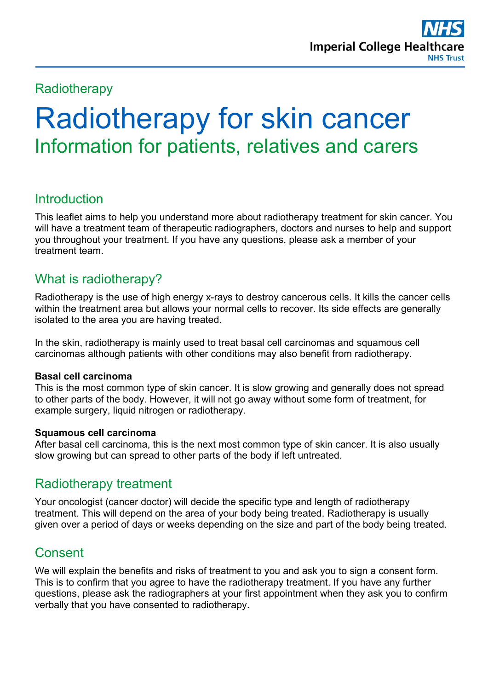# **Radiotherapy**

# Radiotherapy for skin cancer Information for patients, relatives and carers

# **Introduction**

This leaflet aims to help you understand more about radiotherapy treatment for skin cancer. You will have a treatment team of therapeutic radiographers, doctors and nurses to help and support you throughout your treatment. If you have any questions, please ask a member of your treatment team.

# What is radiotherapy?

Radiotherapy is the use of high energy x-rays to destroy cancerous cells. It kills the cancer cells within the treatment area but allows your normal cells to recover. Its side effects are generally isolated to the area you are having treated.

In the skin, radiotherapy is mainly used to treat basal cell carcinomas and squamous cell carcinomas although patients with other conditions may also benefit from radiotherapy.

## **Basal cell carcinoma**

This is the most common type of skin cancer. It is slow growing and generally does not spread to other parts of the body. However, it will not go away without some form of treatment, for example surgery, liquid nitrogen or radiotherapy.

## **Squamous cell carcinoma**

After basal cell carcinoma, this is the next most common type of skin cancer. It is also usually slow growing but can spread to other parts of the body if left untreated.

# Radiotherapy treatment

Your oncologist (cancer doctor) will decide the specific type and length of radiotherapy treatment. This will depend on the area of your body being treated. Radiotherapy is usually given over a period of days or weeks depending on the size and part of the body being treated.

# **Consent**

We will explain the benefits and risks of treatment to you and ask you to sign a consent form. This is to confirm that you agree to have the radiotherapy treatment. If you have any further questions, please ask the radiographers at your first appointment when they ask you to confirm verbally that you have consented to radiotherapy.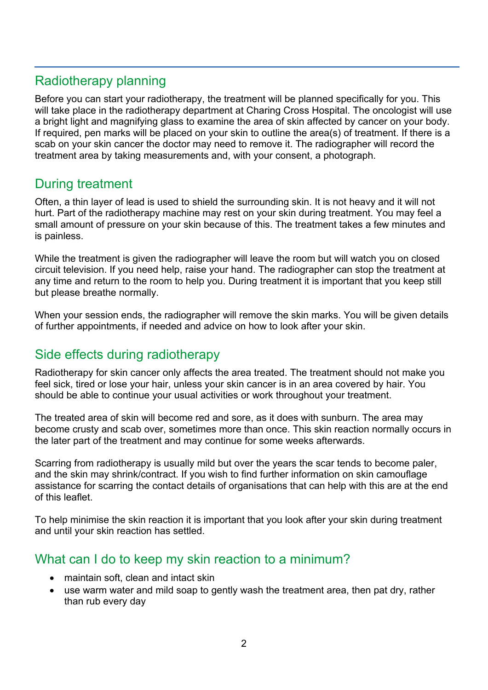# Radiotherapy planning

Before you can start your radiotherapy, the treatment will be planned specifically for you. This will take place in the radiotherapy department at Charing Cross Hospital. The oncologist will use a bright light and magnifying glass to examine the area of skin affected by cancer on your body. If required, pen marks will be placed on your skin to outline the area(s) of treatment. If there is a scab on your skin cancer the doctor may need to remove it. The radiographer will record the treatment area by taking measurements and, with your consent, a photograph.

# During treatment

Often, a thin layer of lead is used to shield the surrounding skin. It is not heavy and it will not hurt. Part of the radiotherapy machine may rest on your skin during treatment. You may feel a small amount of pressure on your skin because of this. The treatment takes a few minutes and is painless.

While the treatment is given the radiographer will leave the room but will watch you on closed circuit television. If you need help, raise your hand. The radiographer can stop the treatment at any time and return to the room to help you. During treatment it is important that you keep still but please breathe normally.

When your session ends, the radiographer will remove the skin marks. You will be given details of further appointments, if needed and advice on how to look after your skin.

# Side effects during radiotherapy

Radiotherapy for skin cancer only affects the area treated. The treatment should not make you feel sick, tired or lose your hair, unless your skin cancer is in an area covered by hair. You should be able to continue your usual activities or work throughout your treatment.

The treated area of skin will become red and sore, as it does with sunburn. The area may become crusty and scab over, sometimes more than once. This skin reaction normally occurs in the later part of the treatment and may continue for some weeks afterwards.

Scarring from radiotherapy is usually mild but over the years the scar tends to become paler, and the skin may shrink/contract. If you wish to find further information on skin camouflage assistance for scarring the contact details of organisations that can help with this are at the end of this leaflet.

To help minimise the skin reaction it is important that you look after your skin during treatment and until your skin reaction has settled.

# What can I do to keep my skin reaction to a minimum?

- maintain soft, clean and intact skin
- use warm water and mild soap to gently wash the treatment area, then pat dry, rather than rub every day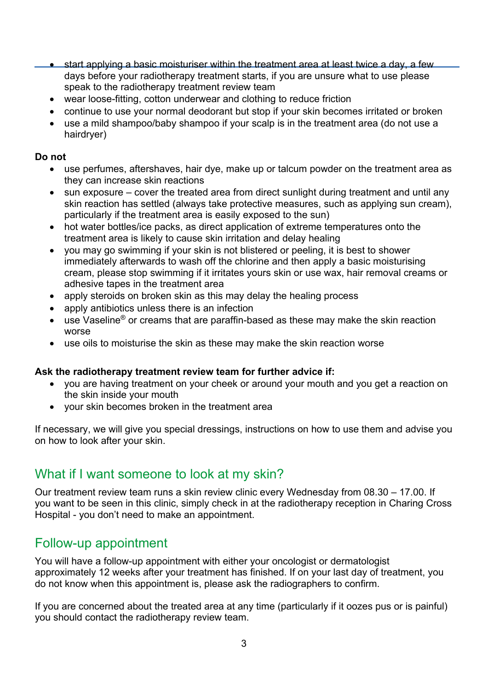• start applying a basic moisturiser within the treatment area at least twice a day, a few days before your radiotherapy treatment starts, if you are unsure what to use please speak to the radiotherapy treatment review team

- wear loose-fitting, cotton underwear and clothing to reduce friction
- continue to use your normal deodorant but stop if your skin becomes irritated or broken
- use a mild shampoo/baby shampoo if your scalp is in the treatment area (do not use a hairdryer)

### **Do not**

- use perfumes, aftershaves, hair dye, make up or talcum powder on the treatment area as they can increase skin reactions
- sun exposure cover the treated area from direct sunlight during treatment and until any skin reaction has settled (always take protective measures, such as applying sun cream), particularly if the treatment area is easily exposed to the sun)
- hot water bottles/ice packs, as direct application of extreme temperatures onto the treatment area is likely to cause skin irritation and delay healing
- you may go swimming if your skin is not blistered or peeling, it is best to shower immediately afterwards to wash off the chlorine and then apply a basic moisturising cream, please stop swimming if it irritates yours skin or use wax, hair removal creams or adhesive tapes in the treatment area
- apply steroids on broken skin as this may delay the healing process
- apply antibiotics unless there is an infection
- use Vaseline® or creams that are paraffin-based as these may make the skin reaction worse
- use oils to moisturise the skin as these may make the skin reaction worse

#### **Ask the radiotherapy treatment review team for further advice if:**

- you are having treatment on your cheek or around your mouth and you get a reaction on the skin inside your mouth
- your skin becomes broken in the treatment area

If necessary, we will give you special dressings, instructions on how to use them and advise you on how to look after your skin.

# What if I want someone to look at my skin?

Our treatment review team runs a skin review clinic every Wednesday from 08.30 – 17.00. If you want to be seen in this clinic, simply check in at the radiotherapy reception in Charing Cross Hospital - you don't need to make an appointment.

## Follow-up appointment

You will have a follow-up appointment with either your oncologist or dermatologist approximately 12 weeks after your treatment has finished. If on your last day of treatment, you do not know when this appointment is, please ask the radiographers to confirm.

If you are concerned about the treated area at any time (particularly if it oozes pus or is painful) you should contact the radiotherapy review team.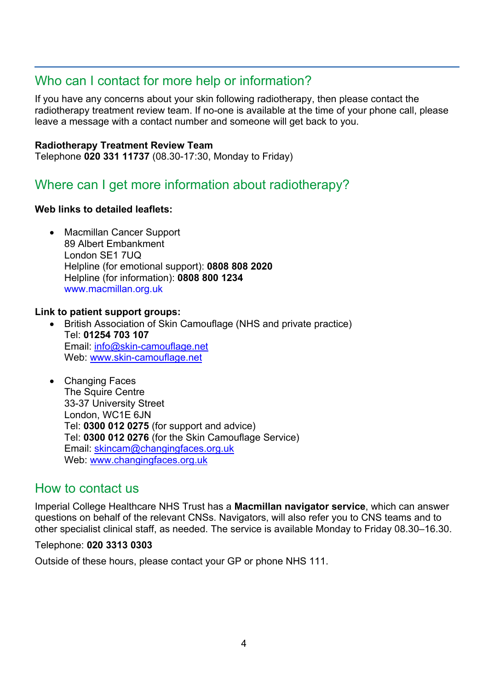# Who can I contact for more help or information?

If you have any concerns about your skin following radiotherapy, then please contact the radiotherapy treatment review team. If no-one is available at the time of your phone call, please leave a message with a contact number and someone will get back to you.

### **Radiotherapy Treatment Review Team**

Telephone **020 331 11737** (08.30-17:30, Monday to Friday)

# Where can I get more information about radiotherapy?

## **Web links to detailed leaflets:**

• Macmillan Cancer Support 89 Albert Embankment London SE1 7UQ Helpline (for emotional support): **0808 808 2020** Helpline (for information): **0808 800 1234** [www.macmillan.org.uk](http://www.macmillan.org.uk/)

## **Link to patient support groups:**

- British Association of Skin Camouflage (NHS and private practice) Tel: **01254 703 107**  Email: [info@skin-camouflage.net](mailto:info@skin-camouflage.net) Web: [www.skin-camouflage.net](http://www.skin-camouflage.net/)
- Changing Faces The Squire Centre 33-37 University Street London, WC1E 6JN Tel: **0300 012 0275** (for support and advice) Tel: **0300 012 0276** (for the Skin Camouflage Service) Email: [skincam@changingfaces.org.uk](mailto:skincam@changingfaces.org.uk) Web: [www.changingfaces.org.uk](http://www.changingfaces.org.uk/)

# How to contact us

Imperial College Healthcare NHS Trust has a **Macmillan navigator service**, which can answer questions on behalf of the relevant CNSs. Navigators, will also refer you to CNS teams and to other specialist clinical staff, as needed. The service is available Monday to Friday 08.30–16.30.

## Telephone: **020 3313 0303**

Outside of these hours, please contact your GP or phone NHS 111.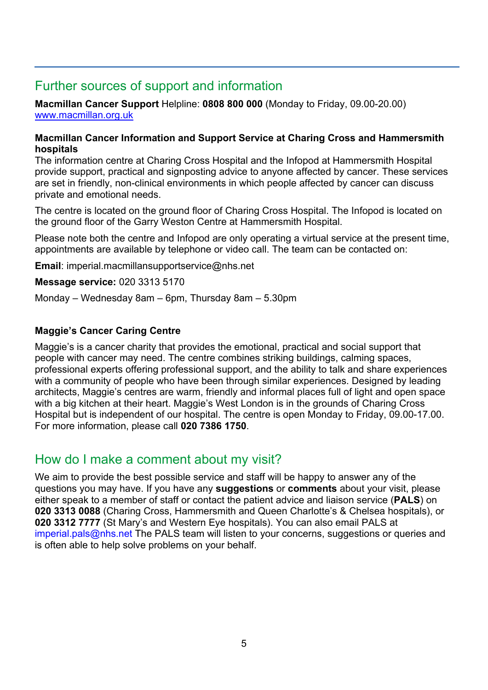# Further sources of support and information

**Macmillan Cancer Support** Helpline: **0808 800 000** (Monday to Friday, 09.00-20.00) [www.macmillan.org.uk](http://www.macmillan.org.uk/)

#### **Macmillan Cancer Information and Support Service at Charing Cross and Hammersmith hospitals**

The information centre at Charing Cross Hospital and the Infopod at Hammersmith Hospital provide support, practical and signposting advice to anyone affected by cancer. These services are set in friendly, non-clinical environments in which people affected by cancer can discuss private and emotional needs.

The centre is located on the ground floor of Charing Cross Hospital. The Infopod is located on the ground floor of the Garry Weston Centre at Hammersmith Hospital.

Please note both the centre and Infopod are only operating a virtual service at the present time, appointments are available by telephone or video call. The team can be contacted on:

**Email**: imperial.macmillansupportservice@nhs.net

**Message service:** 020 3313 5170

Monday – Wednesday 8am – 6pm, Thursday 8am – 5.30pm

## **Maggie's Cancer Caring Centre**

Maggie's is a cancer charity that provides the emotional, practical and social support that people with cancer may need. The centre combines striking buildings, calming spaces, professional experts offering professional support, and the ability to talk and share experiences with a community of people who have been through similar experiences. Designed by leading architects, Maggie's centres are warm, friendly and informal places full of light and open space with a big kitchen at their heart. Maggie's West London is in the grounds of Charing Cross Hospital but is independent of our hospital. The centre is open Monday to Friday, 09.00-17.00. For more information, please call **020 7386 1750**.

## How do I make a comment about my visit?

We aim to provide the best possible service and staff will be happy to answer any of the questions you may have. If you have any **suggestions** or **comments** about your visit, please either speak to a member of staff or contact the patient advice and liaison service (**PALS**) on **020 3313 0088** (Charing Cross, Hammersmith and Queen Charlotte's & Chelsea hospitals), or **020 3312 7777** (St Mary's and Western Eye hospitals). You can also email PALS at [imperial.pals@nhs.net](mailto:imperial.pals@nhs.net) The PALS team will listen to your concerns, suggestions or queries and is often able to help solve problems on your behalf.